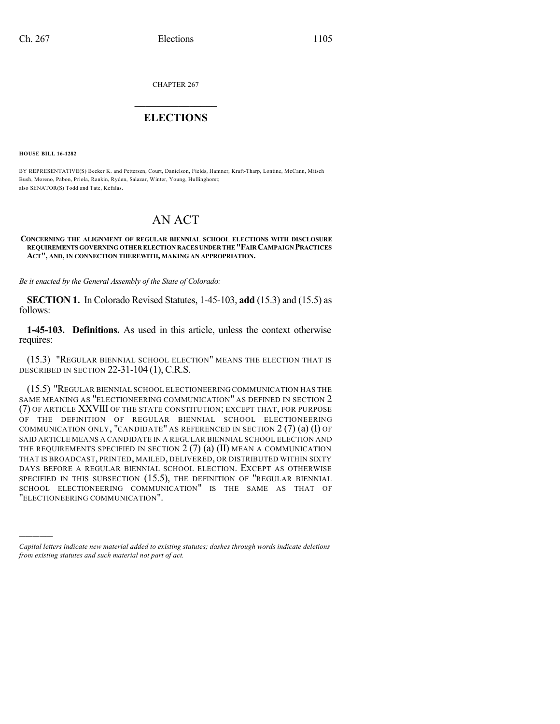CHAPTER 267

## $\overline{\phantom{a}}$  . The set of the set of the set of the set of the set of the set of the set of the set of the set of the set of the set of the set of the set of the set of the set of the set of the set of the set of the set o **ELECTIONS**  $\_$

**HOUSE BILL 16-1282**

)))))

BY REPRESENTATIVE(S) Becker K. and Pettersen, Court, Danielson, Fields, Hamner, Kraft-Tharp, Lontine, McCann, Mitsch Bush, Moreno, Pabon, Priola, Rankin, Ryden, Salazar, Winter, Young, Hullinghorst; also SENATOR(S) Todd and Tate, Kefalas.

## AN ACT

## **CONCERNING THE ALIGNMENT OF REGULAR BIENNIAL SCHOOL ELECTIONS WITH DISCLOSURE REQUIREMENTS GOVERNINGOTHER ELECTION RACESUNDERTHE"FAIRCAMPAIGN PRACTICES ACT", AND, IN CONNECTION THEREWITH, MAKING AN APPROPRIATION.**

*Be it enacted by the General Assembly of the State of Colorado:*

**SECTION 1.** In Colorado Revised Statutes, 1-45-103, **add** (15.3) and (15.5) as follows:

**1-45-103. Definitions.** As used in this article, unless the context otherwise requires:

(15.3) "REGULAR BIENNIAL SCHOOL ELECTION" MEANS THE ELECTION THAT IS DESCRIBED IN SECTION 22-31-104 (1), C.R.S.

(15.5) "REGULAR BIENNIAL SCHOOL ELECTIONEERING COMMUNICATION HAS THE SAME MEANING AS "ELECTIONEERING COMMUNICATION" AS DEFINED IN SECTION 2 (7) OF ARTICLE XXVIII OF THE STATE CONSTITUTION; EXCEPT THAT, FOR PURPOSE OF THE DEFINITION OF REGULAR BIENNIAL SCHOOL ELECTIONEERING COMMUNICATION ONLY, "CANDIDATE" AS REFERENCED IN SECTION  $2(7)(a)(I)$  OF SAID ARTICLE MEANS A CANDIDATE IN A REGULAR BIENNIAL SCHOOL ELECTION AND THE REQUIREMENTS SPECIFIED IN SECTION  $2(7)$  (a) (II) MEAN A COMMUNICATION THAT IS BROADCAST, PRINTED, MAILED, DELIVERED, OR DISTRIBUTED WITHIN SIXTY DAYS BEFORE A REGULAR BIENNIAL SCHOOL ELECTION. EXCEPT AS OTHERWISE SPECIFIED IN THIS SUBSECTION (15.5), THE DEFINITION OF "REGULAR BIENNIAL SCHOOL ELECTIONEERING COMMUNICATION" IS THE SAME AS THAT OF "ELECTIONEERING COMMUNICATION".

*Capital letters indicate new material added to existing statutes; dashes through words indicate deletions from existing statutes and such material not part of act.*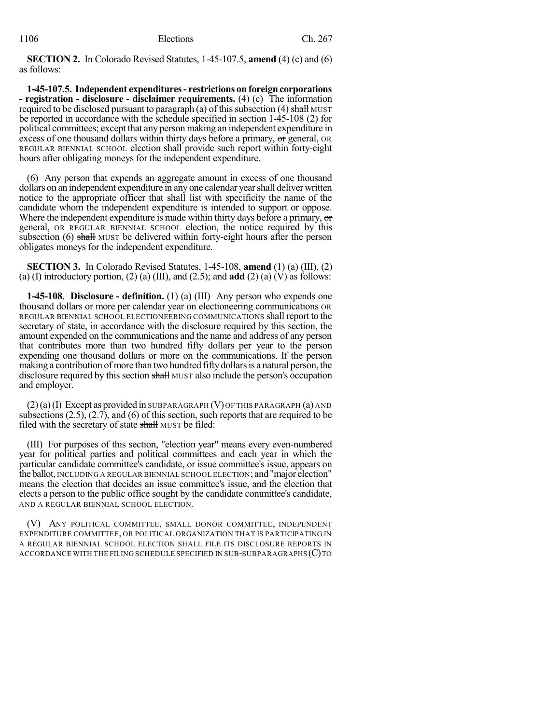**SECTION 2.** In Colorado Revised Statutes, 1-45-107.5, **amend** (4) (c) and (6) as follows:

**1-45-107.5. Independent expenditures- restrictions on foreign corporations - registration - disclosure - disclaimer requirements.** (4) (c) The information required to be disclosed pursuant to paragraph (a) of this subsection (4) shall MUST be reported in accordance with the schedule specified in section 1-45-108 (2) for political committees; except that any person making an independent expenditure in excess of one thousand dollars within thirty days before a primary, or general, OR REGULAR BIENNIAL SCHOOL election shall provide such report within forty-eight hours after obligating moneys for the independent expenditure.

(6) Any person that expends an aggregate amount in excess of one thousand dollars on an independent expenditure in any one calendar yearshall deliverwritten notice to the appropriate officer that shall list with specificity the name of the candidate whom the independent expenditure is intended to support or oppose. Where the independent expenditure is made within thirty days before a primary, or general, OR REGULAR BIENNIAL SCHOOL election, the notice required by this subsection  $(6)$  shall MUST be delivered within forty-eight hours after the person obligates moneys for the independent expenditure.

**SECTION 3.** In Colorado Revised Statutes, 1-45-108, **amend** (1) (a) (III), (2) (a) (I) introductory portion, (2) (a) (III), and (2.5); and **add** (2) (a) (V) as follows:

**1-45-108. Disclosure - definition.** (1) (a) (III) Any person who expends one thousand dollars or more per calendar year on electioneering communications OR REGULAR BIENNIAL SCHOOL ELECTIONEERING COMMUNICATIONS shall report to the secretary of state, in accordance with the disclosure required by this section, the amount expended on the communications and the name and address of any person that contributes more than two hundred fifty dollars per year to the person expending one thousand dollars or more on the communications. If the person making a contribution of more than two hundred fifty dollars is a natural person, the disclosure required by this section shall MUST also include the person's occupation and employer.

 $(2)(a)(I)$  Except as provided in SUBPARAGRAPH (V) OF THIS PARAGRAPH  $(a)$  AND subsections (2.5), (2.7), and (6) of this section, such reports that are required to be filed with the secretary of state shall MUST be filed:

(III) For purposes of this section, "election year" means every even-numbered year for political parties and political committees and each year in which the particular candidate committee's candidate, or issue committee's issue, appears on theballot, INCLUDING A REGULAR BIENNIAL SCHOOL ELECTION; and "major election" means the election that decides an issue committee's issue, and the election that elects a person to the public office sought by the candidate committee's candidate, AND A REGULAR BIENNIAL SCHOOL ELECTION.

(V) ANY POLITICAL COMMITTEE, SMALL DONOR COMMITTEE, INDEPENDENT EXPENDITURE COMMITTEE, OR POLITICAL ORGANIZATION THAT IS PARTICIPATING IN A REGULAR BIENNIAL SCHOOL ELECTION SHALL FILE ITS DISCLOSURE REPORTS IN ACCORDANCE WITH THE FILING SCHEDULE SPECIFIED IN SUB-SUBPARAGRAPHS (C)TO